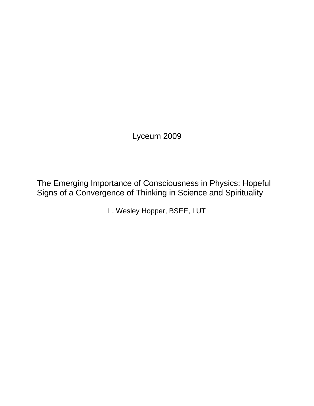Lyceum 2009

The Emerging Importance of Consciousness in Physics: Hopeful Signs of a Convergence of Thinking in Science and Spirituality

L. Wesley Hopper, BSEE, LUT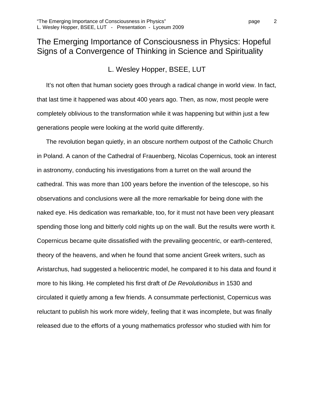# The Emerging Importance of Consciousness in Physics: Hopeful Signs of a Convergence of Thinking in Science and Spirituality

# L. Wesley Hopper, BSEE, LUT

It's not often that human society goes through a radical change in world view. In fact, that last time it happened was about 400 years ago. Then, as now, most people were completely oblivious to the transformation while it was happening but within just a few generations people were looking at the world quite differently.

The revolution began quietly, in an obscure northern outpost of the Catholic Church in Poland. A canon of the Cathedral of Frauenberg, Nicolas Copernicus, took an interest in astronomy, conducting his investigations from a turret on the wall around the cathedral. This was more than 100 years before the invention of the telescope, so his observations and conclusions were all the more remarkable for being done with the naked eye. His dedication was remarkable, too, for it must not have been very pleasant spending those long and bitterly cold nights up on the wall. But the results were worth it. Copernicus became quite dissatisfied with the prevailing geocentric, or earth-centered, theory of the heavens, and when he found that some ancient Greek writers, such as Aristarchus, had suggested a heliocentric model, he compared it to his data and found it more to his liking. He completed his first draft of *De Revolutionibus* in 1530 and circulated it quietly among a few friends. A consummate perfectionist, Copernicus was reluctant to publish his work more widely, feeling that it was incomplete, but was finally released due to the efforts of a young mathematics professor who studied with him for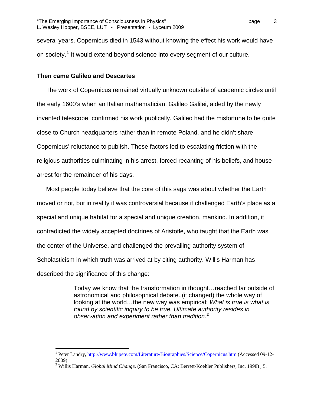several years. Copernicus died in 1543 without knowing the effect his work would have on society.<sup>[1](#page-2-0)</sup> It would extend beyond science into every segment of our culture.

### **Then came Galileo and Descartes**

The work of Copernicus remained virtually unknown outside of academic circles until the early 1600's when an Italian mathematician, Galileo Galilei, aided by the newly invented telescope, confirmed his work publically. Galileo had the misfortune to be quite close to Church headquarters rather than in remote Poland, and he didn't share Copernicus' reluctance to publish. These factors led to escalating friction with the religious authorities culminating in his arrest, forced recanting of his beliefs, and house arrest for the remainder of his days.

Most people today believe that the core of this saga was about whether the Earth moved or not, but in reality it was controversial because it challenged Earth's place as a special and unique habitat for a special and unique creation, mankind. In addition, it contradicted the widely accepted doctrines of Aristotle, who taught that the Earth was the center of the Universe, and challenged the prevailing authority system of Scholasticism in which truth was arrived at by citing authority. Willis Harman has described the significance of this change:

> Today we know that the transformation in thought…reached far outside of astronomical and philosophical debate..(it changed) the whole way of looking at the world…the new way was empirical: *What is true is what is found by scientific inquiry to be true. Ultimate authority resides in observation and experiment rather than tradition.[2](#page-2-1)*

<span id="page-2-0"></span><sup>&</sup>lt;sup>1</sup> Peter Landry, <http://www.blupete.com/Literature/Biographies/Science/Copernicus.htm> (Accessed 09-12-2009)

<span id="page-2-1"></span><sup>2</sup> Willis Harman, *Global Mind Change*, (San Francisco, CA: Berrett-Koehler Publishers, Inc. 1998) , 5.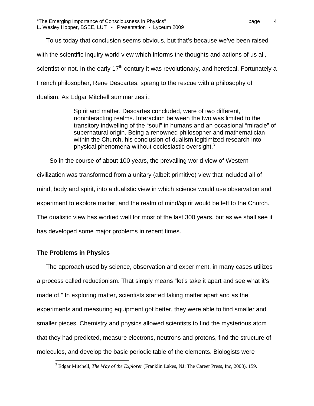To us today that conclusion seems obvious, but that's because we've been raised with the scientific inquiry world view which informs the thoughts and actions of us all, scientist or not. In the early  $17<sup>th</sup>$  century it was revolutionary, and heretical. Fortunately a French philosopher, Rene Descartes, sprang to the rescue with a philosophy of dualism. As Edgar Mitchell summarizes it:

> Spirit and matter, Descartes concluded, were of two different, noninteracting realms. Interaction between the two was limited to the transitory indwelling of the "soul" in humans and an occasional "miracle" of supernatural origin. Being a renowned philosopher and mathematician within the Church, his conclusion of dualism legitimized research into physical phenomena without ecclesiastic oversight. $3$

 So in the course of about 100 years, the prevailing world view of Western civilization was transformed from a unitary (albeit primitive) view that included all of mind, body and spirit, into a dualistic view in which science would use observation and experiment to explore matter, and the realm of mind/spirit would be left to the Church. The dualistic view has worked well for most of the last 300 years, but as we shall see it has developed some major problems in recent times.

# **The Problems in Physics**

 $\overline{a}$ 

The approach used by science, observation and experiment, in many cases utilizes a process called reductionism. That simply means "let's take it apart and see what it's made of." In exploring matter, scientists started taking matter apart and as the experiments and measuring equipment got better, they were able to find smaller and smaller pieces. Chemistry and physics allowed scientists to find the mysterious atom that they had predicted, measure electrons, neutrons and protons, find the structure of molecules, and develop the basic periodic table of the elements. Biologists were

<span id="page-3-0"></span><sup>3</sup> Edgar Mitchell, *The Way of the Explorer* (Franklin Lakes, NJ: The Career Press, Inc, 2008), 159.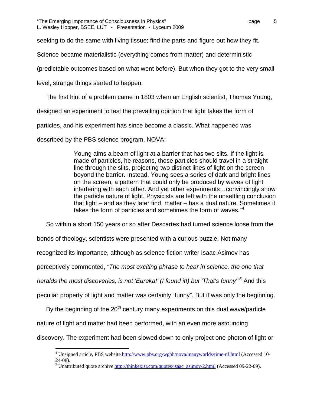"The Emerging Importance of Consciousness in Physics" page 5 L. Wesley Hopper, BSEE, LUT - Presentation - Lyceum 2009

seeking to do the same with living tissue; find the parts and figure out how they fit.

Science became materialistic (everything comes from matter) and deterministic

(predictable outcomes based on what went before). But when they got to the very small

level, strange things started to happen.

The first hint of a problem came in 1803 when an English scientist, Thomas Young,

designed an experiment to test the prevailing opinion that light takes the form of

particles, and his experiment has since become a classic. What happened was

described by the PBS science program, NOVA:

Young aims a beam of light at a barrier that has two slits. If the light is made of particles, he reasons, those particles should travel in a straight line through the slits, projecting two distinct lines of light on the screen beyond the barrier. Instead, Young sees a series of dark and bright lines on the screen, a pattern that could only be produced by waves of light interfering with each other. And yet other experiments…convincingly show the particle nature of light. Physicists are left with the unsettling conclusion that light – and as they later find, matter – has a dual nature. Sometimes it takes the form of particles and sometimes the form of waves."<sup>[4](#page-4-0)</sup>

So within a short 150 years or so after Descartes had turned science loose from the

bonds of theology, scientists were presented with a curious puzzle. Not many

recognized its importance, although as science fiction writer Isaac Asimov has

perceptively commented, *"The most exciting phrase to hear in science, the one that* 

*heralds the most discoveries, is not 'Eureka!' (I found it!) but 'That's funny'"[5](#page-4-1)* And this

peculiar property of light and matter was certainly "funny". But it was only the beginning.

By the beginning of the  $20<sup>th</sup>$  century many experiments on this dual wave/particle

nature of light and matter had been performed, with an even more astounding

<span id="page-4-1"></span><span id="page-4-0"></span>discovery. The experiment had been slowed down to only project one photon of light or

 $\overline{a}$ <sup>4</sup> Unsigned article, PBS website <http://www.pbs.org/wgbh/nova/manyworlds/time-nf.html> (Accessed 10-24-08).

<sup>&</sup>lt;sup>5</sup> Unattributed quote archive  $\frac{http://thinkexist.com/quotes/isaac-asimov/2.html}{http://thinkexist.com/quotes/isaac-asimov/2.html}$  (Accessed 09-22-09).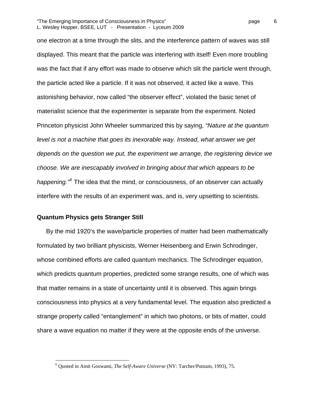#### "The Emerging Importance of Consciousness in Physics" page 6 L. Wesley Hopper, BSEE, LUT - Presentation - Lyceum 2009

one electron at a time through the slits, and the interference pattern of waves was still displayed. This meant that the particle was interfering with itself! Even more troubling was the fact that if any effort was made to observe which slit the particle went through, the particle acted like a particle. If it was not observed, it acted like a wave. This astonishing behavior, now called "the observer effect", violated the basic tenet of materialist science that the experimenter is separate from the experiment. Noted Princeton physicist John Wheeler summarized this by saying, *"Nature at the quantum level is not a machine that goes its inexorable way. Instead, what answer we get depends on the question we put, the experiment we arrange, the registering device we choose. We are inescapably involved in bringing about that which appears to be happening."[6](#page-5-0)* The idea that the mind, or consciousness, of an observer can actually interfere with the results of an experiment was, and is, very upsetting to scientists.

#### **Quantum Physics gets Stranger Still**

 $\overline{a}$ 

By the mid 1920's the wave/particle properties of matter had been mathematically formulated by two brilliant physicists, Werner Heisenberg and Erwin Schrodinger, whose combined efforts are called quantum mechanics. The Schrodinger equation, which predicts quantum properties, predicted some strange results, one of which was that matter remains in a state of uncertainty until it is observed. This again brings consciousness into physics at a very fundamental level. The equation also predicted a strange property called "entanglement" in which two photons, or bits of matter, could share a wave equation no matter if they were at the opposite ends of the universe.

<span id="page-5-0"></span><sup>6</sup> Quoted in Amit Goswami, *The Self-Aware Universe* (NY: Tarcher/Putnam, 1993), 75.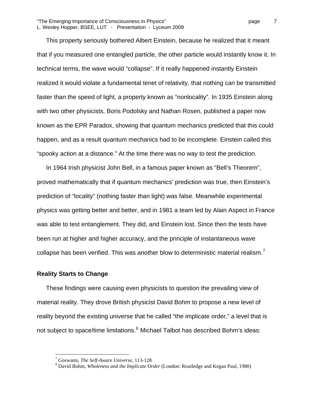This property seriously bothered Albert Einstein, because he realized that it meant that if you measured one entangled particle, the other particle would instantly know it. In technical terms, the wave would "collapse". If it really happened instantly Einstein realized it would violate a fundamental tenet of relativity, that nothing can be transmitted faster than the speed of light, a property known as "nonlocality". In 1935 Einstein along with two other physicists, Boris Podolsky and Nathan Rosen, published a paper now known as the EPR Paradox, showing that quantum mechanics predicted that this could happen, and as a result quantum mechanics had to be incomplete. Einstein called this "spooky action at a distance." At the time there was no way to test the prediction.

In 1964 Irish physicist John Bell, in a famous paper known as "Bell's Theorem", proved mathematically that if quantum mechanics' prediction was true, then Einstein's prediction of "locality" (nothing faster than light) was false. Meanwhile experimental physics was getting better and better, and in 1981 a team led by Alain Aspect in France was able to test entanglement. They did, and Einstein lost. Since then the tests have been run at higher and higher accuracy, and the principle of instantaneous wave collapse has been verified. This was another blow to deterministic material realism.<sup>[7](#page-6-0)</sup>

#### **Reality Starts to Change**

 $\overline{a}$ 

These findings were causing even physicists to question the prevailing view of material reality. They drove British physicist David Bohm to propose a new level of reality beyond the existing universe that he called "the implicate order," a level that is not subject to space/time limitations.<sup>[8](#page-6-1)</sup> Michael Talbot has described Bohm's ideas:

<span id="page-6-0"></span><sup>&</sup>lt;sup>7</sup> Goswami, *The Self-Aware Universe*, 113-128<br><sup>8</sup> David Bohm, *Wholeness and the Implicate On* 

<span id="page-6-1"></span>David Bohm, *Wholeness and the Implicate Order* (London: Routledge and Kegan Paul, 1980)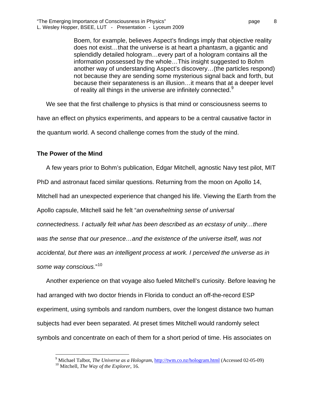Boem, for example, believes Aspect's findings imply that objective reality does not exist…that the universe is at heart a phantasm, a gigantic and splendidly detailed hologram…every part of a hologram contains all the information possessed by the whole…This insight suggested to Bohm another way of understanding Aspect's discovery…(the particles respond) not because they are sending some mysterious signal back and forth, but because their separateness is an illusion…it means that at a deeper level of reality all things in the universe are infinitely connected.<sup>[9](#page-7-0)</sup>

We see that the first challenge to physics is that mind or consciousness seems to

have an effect on physics experiments, and appears to be a central causative factor in

the quantum world. A second challenge comes from the study of the mind.

# **The Power of the Mind**

1

A few years prior to Bohm's publication, Edgar Mitchell, agnostic Navy test pilot, MIT PhD and astronaut faced similar questions. Returning from the moon on Apollo 14, Mitchell had an unexpected experience that changed his life. Viewing the Earth from the Apollo capsule, Mitchell said he felt "*an overwhelming sense of universal connectedness. I actually felt what has been described as an ecstasy of unity…there*  was the sense that our presence...and the existence of the universe itself, was not *accidental, but there was an intelligent process at work. I perceived the universe as in some way conscious.*" [10](#page-7-1)

Another experience on that voyage also fueled Mitchell's curiosity. Before leaving he had arranged with two doctor friends in Florida to conduct an off-the-record ESP experiment, using symbols and random numbers, over the longest distance two human subjects had ever been separated. At preset times Mitchell would randomly select symbols and concentrate on each of them for a short period of time. His associates on

<span id="page-7-1"></span><span id="page-7-0"></span><sup>&</sup>lt;sup>9</sup> Michael Talbot, *The Universe as a Hologram*, <u>http://twm.co.nz/hologram.html</u> (Accessed 02-05-09) <sup>10</sup> Mitchell, *The Way of the Explorer*, 16.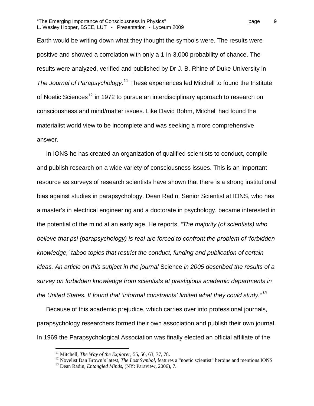Earth would be writing down what they thought the symbols were. The results were positive and showed a correlation with only a 1-in-3,000 probability of chance. The results were analyzed, verified and published by Dr J. B. Rhine of Duke University in The Journal of Parapsychology.<sup>[11](#page-8-0)</sup> These experiences led Mitchell to found the Institute of Noetic Sciences<sup>[12](#page-8-1)</sup> in 1972 to pursue an interdisciplinary approach to research on consciousness and mind/matter issues. Like David Bohm, Mitchell had found the materialist world view to be incomplete and was seeking a more comprehensive answer.

In IONS he has created an organization of qualified scientists to conduct, compile and publish research on a wide variety of consciousness issues. This is an important resource as surveys of research scientists have shown that there is a strong institutional bias against studies in parapsychology. Dean Radin, Senior Scientist at IONS, who has a master's in electrical engineering and a doctorate in psychology, became interested in the potential of the mind at an early age. He reports, *"The majority (of scientists) who believe that psi (parapsychology) is real are forced to confront the problem of 'forbidden knowledge,' taboo topics that restrict the conduct, funding and publication of certain ideas. An article on this subject in the journal* Science *in 2005 described the results of a survey on forbidden knowledge from scientists at prestigious academic departments in the United States. It found that 'informal constraints' limited what they could study."[13](#page-8-2)*

Because of this academic prejudice, which carries over into professional journals, parapsychology researchers formed their own association and publish their own journal. In 1969 the Parapsychological Association was finally elected an official affiliate of the

1

<span id="page-8-2"></span><span id="page-8-1"></span><span id="page-8-0"></span><sup>&</sup>lt;sup>11</sup> Mitchell, *The Way of the Explorer*, 55, 56, 63, 77, 78.<br><sup>12</sup> Novelist Dan Brown's latest, *The Lost Symbol*, features a "noetic scientist" heroine and mentions IONS<br><sup>13</sup> Dean Radin, *Entangled Minds*, (NY: Paraview,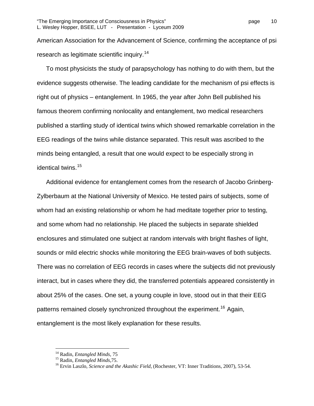American Association for the Advancement of Science, confirming the acceptance of psi research as legitimate scientific inquiry.<sup>[14](#page-9-0)</sup>

To most physicists the study of parapsychology has nothing to do with them, but the evidence suggests otherwise. The leading candidate for the mechanism of psi effects is right out of physics – entanglement. In 1965, the year after John Bell published his famous theorem confirming nonlocality and entanglement, two medical researchers published a startling study of identical twins which showed remarkable correlation in the EEG readings of the twins while distance separated. This result was ascribed to the minds being entangled, a result that one would expect to be especially strong in identical twins.<sup>[15](#page-9-1)</sup>

Additional evidence for entanglement comes from the research of Jacobo Grinberg-Zylberbaum at the National University of Mexico. He tested pairs of subjects, some of whom had an existing relationship or whom he had meditate together prior to testing, and some whom had no relationship. He placed the subjects in separate shielded enclosures and stimulated one subject at random intervals with bright flashes of light, sounds or mild electric shocks while monitoring the EEG brain-waves of both subjects. There was no correlation of EEG records in cases where the subjects did not previously interact, but in cases where they did, the transferred potentials appeared consistently in about 25% of the cases. One set, a young couple in love, stood out in that their EEG patterns remained closely synchronized throughout the experiment.<sup>[16](#page-9-2)</sup> Again, entanglement is the most likely explanation for these results.

<span id="page-9-1"></span><span id="page-9-0"></span>

<span id="page-9-2"></span>

<sup>&</sup>lt;sup>14</sup> Radin, *Entangled Minds*, 75<br><sup>15</sup> Radin, *Entangled Minds*, 75.<br><sup>16</sup> Ervin Laszlo, *Science and the Akashic Field*, (Rochester, VT: Inner Traditions, 2007), 53-54.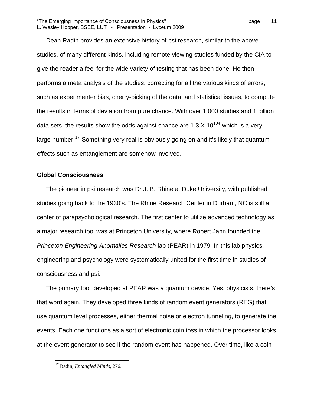Dean Radin provides an extensive history of psi research, similar to the above studies, of many different kinds, including remote viewing studies funded by the CIA to give the reader a feel for the wide variety of testing that has been done. He then performs a meta analysis of the studies, correcting for all the various kinds of errors, such as experimenter bias, cherry-picking of the data, and statistical issues, to compute the results in terms of deviation from pure chance. With over 1,000 studies and 1 billion data sets, the results show the odds against chance are 1.3 X  $10^{104}$  which is a very large number.<sup>[17](#page-10-0)</sup> Something very real is obviously going on and it's likely that quantum effects such as entanglement are somehow involved.

#### **Global Consciousness**

The pioneer in psi research was Dr J. B. Rhine at Duke University, with published studies going back to the 1930's. The Rhine Research Center in Durham, NC is still a center of parapsychological research. The first center to utilize advanced technology as a major research tool was at Princeton University, where Robert Jahn founded the *Princeton Engineering Anomalies Research* lab (PEAR) in 1979. In this lab physics, engineering and psychology were systematically united for the first time in studies of consciousness and psi.

The primary tool developed at PEAR was a quantum device. Yes, physicists, there's that word again. They developed three kinds of random event generators (REG) that use quantum level processes, either thermal noise or electron tunneling, to generate the events. Each one functions as a sort of electronic coin toss in which the processor looks at the event generator to see if the random event has happened. Over time, like a coin

<span id="page-10-0"></span> $\overline{a}$ 17 Radin, *Entangled Minds*, 276.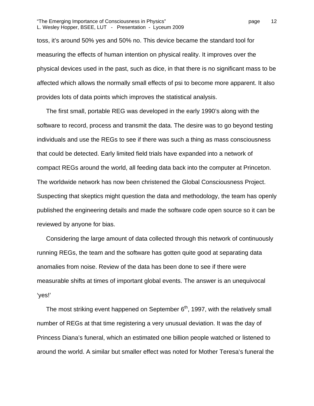#### "The Emerging Importance of Consciousness in Physics" page 12 L. Wesley Hopper, BSEE, LUT - Presentation - Lyceum 2009

toss, it's around 50% yes and 50% no. This device became the standard tool for measuring the effects of human intention on physical reality. It improves over the physical devices used in the past, such as dice, in that there is no significant mass to be affected which allows the normally small effects of psi to become more apparent. It also provides lots of data points which improves the statistical analysis.

The first small, portable REG was developed in the early 1990's along with the software to record, process and transmit the data. The desire was to go beyond testing individuals and use the REGs to see if there was such a thing as mass consciousness that could be detected. Early limited field trials have expanded into a network of compact REGs around the world, all feeding data back into the computer at Princeton. The worldwide network has now been christened the Global Consciousness Project. Suspecting that skeptics might question the data and methodology, the team has openly published the engineering details and made the software code open source so it can be reviewed by anyone for bias.

Considering the large amount of data collected through this network of continuously running REGs, the team and the software has gotten quite good at separating data anomalies from noise. Review of the data has been done to see if there were measurable shifts at times of important global events. The answer is an unequivocal 'yes!'

The most striking event happened on September  $6<sup>th</sup>$ , 1997, with the relatively small number of REGs at that time registering a very unusual deviation. It was the day of Princess Diana's funeral, which an estimated one billion people watched or listened to around the world. A similar but smaller effect was noted for Mother Teresa's funeral the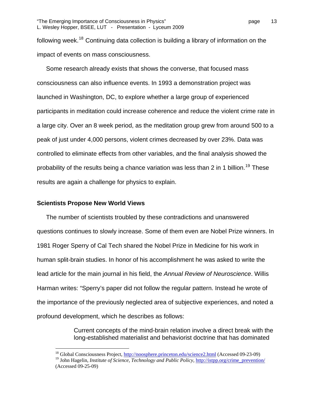following week.<sup>[18](#page-12-0)</sup> Continuing data collection is building a library of information on the impact of events on mass consciousness.

Some research already exists that shows the converse, that focused mass consciousness can also influence events. In 1993 a demonstration project was launched in Washington, DC, to explore whether a large group of experienced participants in meditation could increase coherence and reduce the violent crime rate in a large city. Over an 8 week period, as the meditation group grew from around 500 to a peak of just under 4,000 persons, violent crimes decreased by over 23%. Data was controlled to eliminate effects from other variables, and the final analysis showed the probability of the results being a chance variation was less than 2 in 1 billion.<sup>[19](#page-12-1)</sup> These results are again a challenge for physics to explain.

#### **Scientists Propose New World Views**

 $\overline{a}$ 

The number of scientists troubled by these contradictions and unanswered questions continues to slowly increase. Some of them even are Nobel Prize winners. In 1981 Roger Sperry of Cal Tech shared the Nobel Prize in Medicine for his work in human split-brain studies. In honor of his accomplishment he was asked to write the lead article for the main journal in his field, the *Annual Review of Neuroscience*. Willis Harman writes: "Sperry's paper did not follow the regular pattern. Instead he wrote of the importance of the previously neglected area of subjective experiences, and noted a profound development, which he describes as follows:

> Current concepts of the mind-brain relation involve a direct break with the long-established materialist and behaviorist doctrine that has dominated

<sup>&</sup>lt;sup>18</sup> Global Consciousness Project,<http://noosphere.princeton.edu/science2.html>(Accessed 09-23-09)

<span id="page-12-1"></span><span id="page-12-0"></span><sup>&</sup>lt;sup>19</sup> John Hagelin, *Institute of Science, Technology and Public Policy*, [http://istpp.org/crime\\_prevention/](http://istpp.org/crime_prevention/) (Accessed 09-25-09)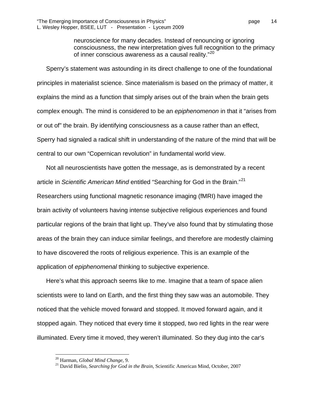neuroscience for many decades. Instead of renouncing or ignoring consciousness, the new interpretation gives full recognition to the primacy of inner conscious awareness as a causal reality."[20](#page-13-0)

Sperry's statement was astounding in its direct challenge to one of the foundational principles in materialist science. Since materialism is based on the primacy of matter, it explains the mind as a function that simply arises out of the brain when the brain gets complex enough. The mind is considered to be an *epiphenomenon* in that it "arises from or out of" the brain. By identifying consciousness as a cause rather than an effect, Sperry had signaled a radical shift in understanding of the nature of the mind that will be central to our own "Copernican revolution" in fundamental world view.

Not all neuroscientists have gotten the message, as is demonstrated by a recent article in *Scientific American Mind* entitled "Searching for God in the Brain."[21](#page-13-1) Researchers using functional magnetic resonance imaging (fMRI) have imaged the brain activity of volunteers having intense subjective religious experiences and found particular regions of the brain that light up. They've also found that by stimulating those areas of the brain they can induce similar feelings, and therefore are modestly claiming to have discovered the roots of religious experience. This is an example of the application of *epiphenomenal* thinking to subjective experience.

Here's what this approach seems like to me. Imagine that a team of space alien scientists were to land on Earth, and the first thing they saw was an automobile. They noticed that the vehicle moved forward and stopped. It moved forward again, and it stopped again. They noticed that every time it stopped, two red lights in the rear were illuminated. Every time it moved, they weren't illuminated. So they dug into the car's

1

<span id="page-13-1"></span><span id="page-13-0"></span><sup>&</sup>lt;sup>20</sup> Harman, *Global Mind Change*, 9.<br><sup>21</sup> David Bielio, *Searching for God in the Brain*, Scientific American Mind, October, 2007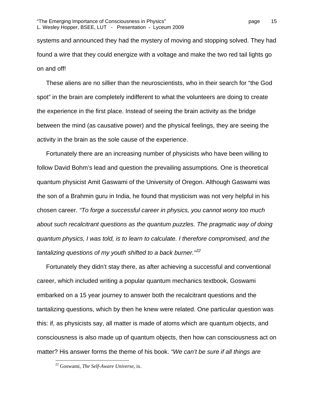systems and announced they had the mystery of moving and stopping solved. They had found a wire that they could energize with a voltage and make the two red tail lights go on and off!

These aliens are no sillier than the neuroscientists, who in their search for "the God spot" in the brain are completely indifferent to what the volunteers are doing to create the experience in the first place. Instead of seeing the brain activity as the bridge between the mind (as causative power) and the physical feelings, they are seeing the activity in the brain as the sole cause of the experience.

Fortunately there are an increasing number of physicists who have been willing to follow David Bohm's lead and question the prevailing assumptions. One is theoretical quantum physicist Amit Gaswami of the University of Oregon. Although Gaswami was the son of a Brahmin guru in India, he found that mysticism was not very helpful in his chosen career. *"To forge a successful career in physics, you cannot worry too much about such recalcitrant questions as the quantum puzzles. The pragmatic way of doing quantum physics, I was told, is to learn to calculate. I therefore compromised, and the tantalizing questions of my youth shifted to a back burner."[22](#page-14-0)*

Fortunately they didn't stay there, as after achieving a successful and conventional career, which included writing a popular quantum mechanics textbook, Goswami embarked on a 15 year journey to answer both the recalcitrant questions and the tantalizing questions, which by then he knew were related. One particular question was this: if, as physicists say, all matter is made of atoms which are quantum objects, and consciousness is also made up of quantum objects, then how can consciousness act on matter? His answer forms the theme of his book. *"We can't be sure if all things are* 

<span id="page-14-0"></span><sup>22</sup> Goswami, *The Self-Aware Universe*, ix.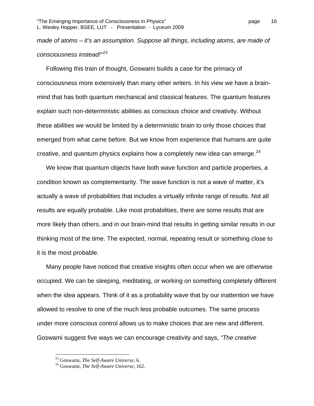*made of atoms – it's an assumption. Suppose all things, including atoms, are made of consciousness instead!"[23](#page-15-0)*

Following this train of thought, Goswami builds a case for the primacy of consciousness more extensively than many other writers. In his view we have a brainmind that has both quantum mechanical and classical features. The quantum features explain such non-deterministic abilities as conscious choice and creativity. Without these abilities we would be limited by a deterministic brain to only those choices that emerged from what came before. But we know from experience that humans are quite creative, and quantum physics explains how a completely new idea can emerge.  $24$ 

We know that quantum objects have both wave function and particle properties, a condition known as complementarity. The wave function is not a wave of matter, it's actually a wave of probabilities that includes a virtually infinite range of results. Not all results are equally probable. Like most probabilities, there are some results that are more likely than others, and in our brain-mind that results in getting similar results in our thinking most of the time. The expected, normal, repeating result or something close to it is the most probable.

Many people have noticed that creative insights often occur when we are otherwise occupied. We can be sleeping, meditating, or working on something completely different when the idea appears. Think of it as a probability wave that by our inattention we have allowed to resolve to one of the much less probable outcomes. The same process under more conscious control allows us to make choices that are new and different. Goswami suggest five ways we can encourage creativity and says, *"The creative* 

1

<span id="page-15-1"></span><span id="page-15-0"></span>

<sup>23</sup> Goswami, *The Self-Aware Universe,* 6. 24 Goswami, *The Self-Aware Universe,* 162.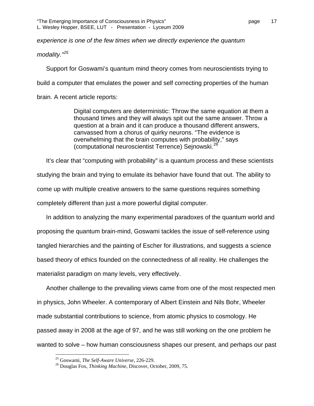*experience is one of the few times when we directly experience the quantum* 

*modality."[25](#page-16-0)*

Support for Goswami's quantum mind theory comes from neuroscientists trying to build a computer that emulates the power and self correcting properties of the human brain. A recent article reports:

> Digital computers are deterministic: Throw the same equation at them a thousand times and they will always spit out the same answer. Throw a question at a brain and it can produce a thousand different answers, canvassed from a chorus of quirky neurons. "The evidence is overwhelming that the brain computes with probability," says (computational neuroscientist Terrence) Sejnowski.[26](#page-16-1)

It's clear that "computing with probability" is a quantum process and these scientists studying the brain and trying to emulate its behavior have found that out. The ability to come up with multiple creative answers to the same questions requires something completely different than just a more powerful digital computer.

In addition to analyzing the many experimental paradoxes of the quantum world and proposing the quantum brain-mind, Goswami tackles the issue of self-reference using tangled hierarchies and the painting of Escher for illustrations, and suggests a science based theory of ethics founded on the connectedness of all reality. He challenges the materialist paradigm on many levels, very effectively.

Another challenge to the prevailing views came from one of the most respected men in physics, John Wheeler. A contemporary of Albert Einstein and Nils Bohr, Wheeler made substantial contributions to science, from atomic physics to cosmology. He passed away in 2008 at the age of 97, and he was still working on the one problem he wanted to solve – how human consciousness shapes our present, and perhaps our past

<span id="page-16-1"></span><span id="page-16-0"></span><sup>&</sup>lt;sup>25</sup> Goswami, *The Self-Aware Universe*, 226-229.<br><sup>26</sup> Douglas Fox, *Thinking Machine*, Discover, October, 2009, 75.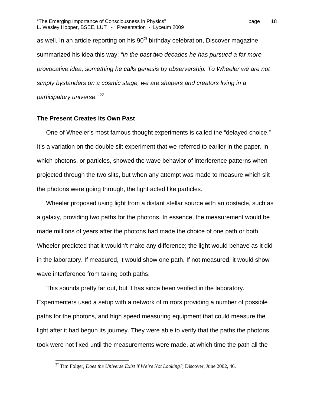"The Emerging Importance of Consciousness in Physics" page 18 L. Wesley Hopper, BSEE, LUT - Presentation - Lyceum 2009

as well. In an article reporting on his 90<sup>th</sup> birthday celebration, Discover magazine summarized his idea this way: *"In the past two decades he has pursued a far more provocative idea, something he calls genesis by observership. To Wheeler we are not simply bystanders on a cosmic stage, we are shapers and creators living in a participatory universe."[27](#page-17-0)*

#### **The Present Creates Its Own Past**

 $\overline{a}$ 

One of Wheeler's most famous thought experiments is called the "delayed choice." It's a variation on the double slit experiment that we referred to earlier in the paper, in which photons, or particles, showed the wave behavior of interference patterns when projected through the two slits, but when any attempt was made to measure which slit the photons were going through, the light acted like particles.

Wheeler proposed using light from a distant stellar source with an obstacle, such as a galaxy, providing two paths for the photons. In essence, the measurement would be made millions of years after the photons had made the choice of one path or both. Wheeler predicted that it wouldn't make any difference; the light would behave as it did in the laboratory. If measured, it would show one path. If not measured, it would show wave interference from taking both paths.

This sounds pretty far out, but it has since been verified in the laboratory. Experimenters used a setup with a network of mirrors providing a number of possible paths for the photons, and high speed measuring equipment that could measure the light after it had begun its journey. They were able to verify that the paths the photons took were not fixed until the measurements were made, at which time the path all the

<span id="page-17-0"></span><sup>27</sup> Tim Folger, *Does the Universe Exist if We're Not Looking?*, Discover, June 2002, 46.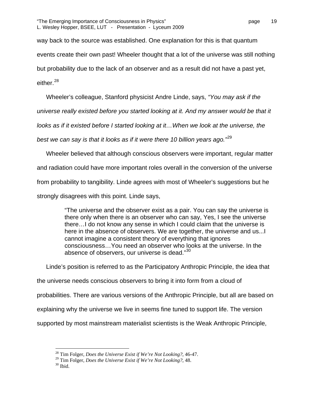way back to the source was established. One explanation for this is that quantum events create their own past! Wheeler thought that a lot of the universe was still nothing but probability due to the lack of an observer and as a result did not have a past yet, either.<sup>[28](#page-18-0)</sup>

Wheeler's colleague, Stanford physicist Andre Linde, says, *"You may ask if the* 

*universe really existed before you started looking at it. And my answer would be that it* 

*looks as if it existed before I started looking at it...When we look at the universe, the* 

*best we can say is that it looks as if it were there 10 billion years ago."*[29](#page-18-1)

Wheeler believed that although conscious observers were important, regular matter and radiation could have more important roles overall in the conversion of the universe from probability to tangibility. Linde agrees with most of Wheeler's suggestions but he strongly disagrees with this point. Linde says,

> "The universe and the observer exist as a pair. You can say the universe is there only when there is an observer who can say, Yes, I see the universe there…I do not know any sense in which I could claim that the universe is here in the absence of observers. We are together, the universe and us...I cannot imagine a consistent theory of everything that ignores consciousness…You need an observer who looks at the universe. In the absence of observers, our universe is dead."<sup>[30](#page-18-2)</sup>

Linde's position is referred to as the Participatory Anthropic Principle, the idea that the universe needs conscious observers to bring it into form from a cloud of probabilities. There are various versions of the Anthropic Principle, but all are based on explaining why the universe we live in seems fine tuned to support life. The version supported by most mainstream materialist scientists is the Weak Anthropic Principle,

<span id="page-18-0"></span><sup>28</sup> Tim Folger, *Does the Universe Exist if We're Not Looking?*, 46-47.

<span id="page-18-2"></span><span id="page-18-1"></span><sup>&</sup>lt;sup>29</sup> Tim Folger, *Does the Universe Exist if We're Not Looking?*, 48. <sup>30</sup> Ibid.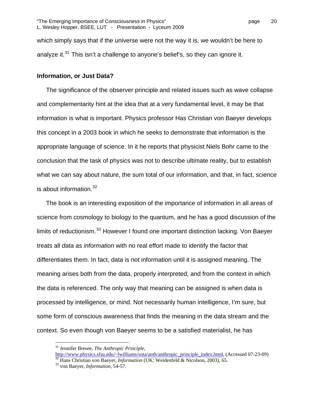which simply says that if the universe were not the way it is, we wouldn't be here to analyze it. $31$  This isn't a challenge to anyone's belief's, so they can ignore it.

#### **Information, or Just Data?**

The significance of the observer principle and related issues such as wave collapse and complementarity hint at the idea that at a very fundamental level, it may be that information is what is important. Physics professor Has Christian von Baeyer develops this concept in a 2003 book in which he seeks to demonstrate that information is the appropriate language of science. In it he reports that physicist Niels Bohr came to the conclusion that the task of physics was not to describe ultimate reality, but to establish what we can say about nature, the sum total of our information, and that, in fact, science is about information.  $32$ 

The book is an interesting exposition of the importance of information in all areas of science from cosmology to biology to the quantum, and he has a good discussion of the limits of reductionism.<sup>[33](#page-19-2)</sup> However I found one important distinction lacking. Von Baeyer treats all *data* as *information* with no real effort made to identify the factor that differentiates them. In fact, data is not information until it is assigned meaning. The meaning arises both from the data, properly interpreted, and from the context in which the data is referenced. The only way that meaning can be assigned is when data is processed by intelligence, or mind. Not necessarily human intelligence, I'm sure, but some form of conscious awareness that finds the meaning in the data stream and the context. So even though von Baeyer seems to be a satisfied materialist, he has

<sup>&</sup>lt;sup>31</sup> Jennifer Bresee, *The Anthropic Principle*,<br>http://www.physics.sfsu.edu/~lwilliams/sota/anth/anthropic principle index.html, (Accessed 07-23-09)

<span id="page-19-2"></span><span id="page-19-1"></span><span id="page-19-0"></span> $\frac{32}{32}$  $\frac{32}{32}$  $\frac{32}{32}$  Hans Christian von Baeyer, *Information* (UK: Weidenfeld & Nicolson, 2003), 65.<br><sup>33</sup> von Baeyer, *Information*, 54-57.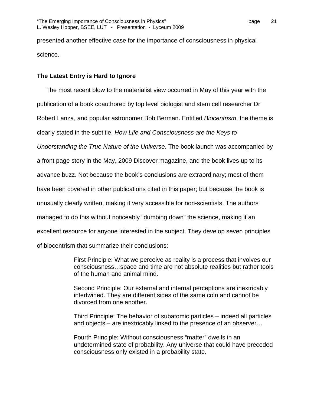presented another effective case for the importance of consciousness in physical science.

# **The Latest Entry is Hard to Ignore**

The most recent blow to the materialist view occurred in May of this year with the publication of a book coauthored by top level biologist and stem cell researcher Dr Robert Lanza, and popular astronomer Bob Berman. Entitled *Biocentrism*, the theme is clearly stated in the subtitle, *How Life and Consciousness are the Keys to Understanding the True Nature of the Universe*. The book launch was accompanied by a front page story in the May, 2009 Discover magazine, and the book lives up to its advance buzz. Not because the book's conclusions are extraordinary; most of them have been covered in other publications cited in this paper; but because the book is unusually clearly written, making it very accessible for non-scientists. The authors managed to do this without noticeably "dumbing down" the science, making it an excellent resource for anyone interested in the subject. They develop seven principles of biocentrism that summarize their conclusions:

> First Principle: What we perceive as reality is a process that involves our consciousness…space and time are not absolute realities but rather tools of the human and animal mind.

Second Principle: Our external and internal perceptions are inextricably intertwined. They are different sides of the same coin and cannot be divorced from one another.

Third Principle: The behavior of subatomic particles – indeed all particles and objects – are inextricably linked to the presence of an observer…

Fourth Principle: Without consciousness "matter" dwells in an undetermined state of probability. Any universe that could have preceded consciousness only existed in a probability state.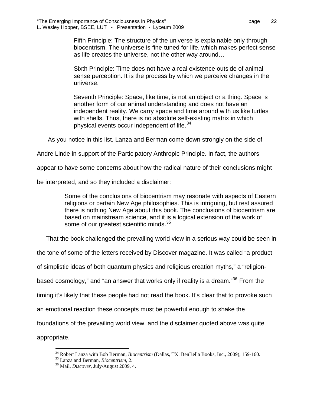Fifth Principle: The structure of the universe is explainable only through biocentrism. The universe is fine-tuned for life, which makes perfect sense as life creates the universe, not the other way around…

Sixth Principle: Time does not have a real existence outside of animalsense perception. It is the process by which we perceive changes in the universe.

Seventh Principle: Space, like time, is not an object or a thing. Space is another form of our animal understanding and does not have an independent reality. We carry space and time around with us like turtles with shells. Thus, there is no absolute self-existing matrix in which physical events occur independent of life.<sup>[34](#page-21-0)</sup>

As you notice in this list, Lanza and Berman come down strongly on the side of

Andre Linde in support of the Participatory Anthropic Principle. In fact, the authors

appear to have some concerns about how the radical nature of their conclusions might

be interpreted, and so they included a disclaimer:

Some of the conclusions of biocentrism may resonate with aspects of Eastern religions or certain New Age philosophies. This is intriguing, but rest assured there is nothing New Age about this book. The conclusions of biocentrism are based on mainstream science, and it is a logical extension of the work of some of our greatest scientific minds.<sup>[35](#page-21-1)</sup>

That the book challenged the prevailing world view in a serious way could be seen in

the tone of some of the letters received by Discover magazine. It was called "a product

of simplistic ideas of both quantum physics and religious creation myths," a "religion-

based cosmology," and "an answer that works only if reality is a dream."<sup>[36](#page-21-2)</sup> From the

timing it's likely that these people had not read the book. It's clear that to provoke such

an emotional reaction these concepts must be powerful enough to shake the

foundations of the prevailing world view, and the disclaimer quoted above was quite

<span id="page-21-2"></span><span id="page-21-1"></span><span id="page-21-0"></span>appropriate.

1

<sup>&</sup>lt;sup>34</sup> Robert Lanza with Bob Berman, *Biocentrism* (Dallas, TX: BenBella Books, Inc., 2009), 159-160.<br><sup>35</sup> Lanza and Berman, *Biocentrism*, 2.<br><sup>36</sup> Mail, *Discover*, July/August 2009, 4.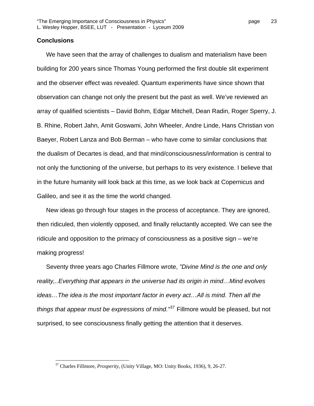### **Conclusions**

 $\overline{a}$ 

We have seen that the array of challenges to dualism and materialism have been building for 200 years since Thomas Young performed the first double slit experiment and the observer effect was revealed. Quantum experiments have since shown that observation can change not only the present but the past as well. We've reviewed an array of qualified scientists – David Bohm, Edgar Mitchell, Dean Radin, Roger Sperry, J. B. Rhine, Robert Jahn, Amit Goswami, John Wheeler, Andre Linde, Hans Christian von Baeyer, Robert Lanza and Bob Berman – who have come to similar conclusions that the dualism of Decartes is dead, and that mind/consciousness/information is central to not only the functioning of the universe, but perhaps to its very existence. I believe that in the future humanity will look back at this time, as we look back at Copernicus and Galileo, and see it as the time the world changed.

New ideas go through four stages in the process of acceptance. They are ignored, then ridiculed, then violently opposed, and finally reluctantly accepted. We can see the ridicule and opposition to the primacy of consciousness as a positive sign – we're making progress!

Seventy three years ago Charles Fillmore wrote, *"Divine Mind is the one and only reality,..Everything that appears in the universe had its origin in mind…Mind evolves ideas…The idea is the most important factor in every act…All is mind. Then all the things that appear must be expressions of mind."*[37](#page-22-0) Fillmore would be pleased, but not surprised, to see consciousness finally getting the attention that it deserves.

<span id="page-22-0"></span><sup>37</sup> Charles Fillmore, *Prosperity*, (Unity Village, MO: Unity Books, 1936), 9, 26-27.